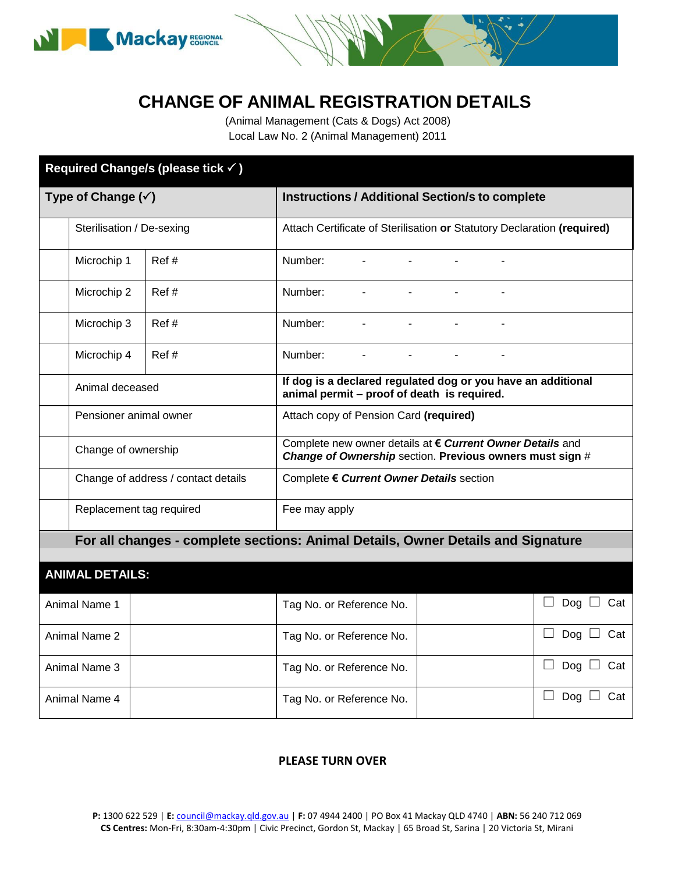



(Animal Management (Cats & Dogs) Act 2008) Local Law No. 2 (Animal Management) 2011

| Required Change/s (please tick √)                                                |                                     |                          |                                                                                                                       |                |                |                |                   |                   |  |
|----------------------------------------------------------------------------------|-------------------------------------|--------------------------|-----------------------------------------------------------------------------------------------------------------------|----------------|----------------|----------------|-------------------|-------------------|--|
| Type of Change $(\check{v})$                                                     |                                     |                          | <b>Instructions / Additional Section/s to complete</b>                                                                |                |                |                |                   |                   |  |
|                                                                                  | Sterilisation / De-sexing           |                          | Attach Certificate of Sterilisation or Statutory Declaration (required)                                               |                |                |                |                   |                   |  |
|                                                                                  | Microchip 1                         | Ref#                     | Number:                                                                                                               |                |                |                |                   |                   |  |
|                                                                                  | Microchip 2                         | Ref#                     | Number:                                                                                                               |                |                |                |                   |                   |  |
|                                                                                  | Microchip 3                         | Ref#                     | Number:                                                                                                               | $\blacksquare$ | $\blacksquare$ | ä,             | $\blacksquare$    |                   |  |
|                                                                                  | Microchip 4                         | Ref#                     | Number:                                                                                                               |                |                | $\blacksquare$ |                   |                   |  |
|                                                                                  | Animal deceased                     |                          | If dog is a declared regulated dog or you have an additional<br>animal permit - proof of death is required.           |                |                |                |                   |                   |  |
|                                                                                  | Pensioner animal owner              |                          | Attach copy of Pension Card (required)                                                                                |                |                |                |                   |                   |  |
|                                                                                  | Change of ownership                 |                          | Complete new owner details at € Current Owner Details and<br>Change of Ownership section. Previous owners must sign # |                |                |                |                   |                   |  |
|                                                                                  | Change of address / contact details |                          | Complete € Current Owner Details section                                                                              |                |                |                |                   |                   |  |
|                                                                                  | Replacement tag required            |                          | Fee may apply                                                                                                         |                |                |                |                   |                   |  |
| For all changes - complete sections: Animal Details, Owner Details and Signature |                                     |                          |                                                                                                                       |                |                |                |                   |                   |  |
| <b>ANIMAL DETAILS:</b>                                                           |                                     |                          |                                                                                                                       |                |                |                |                   |                   |  |
| Animal Name 1                                                                    |                                     | Tag No. or Reference No. |                                                                                                                       |                |                |                | Dog $\Box$ Cat    |                   |  |
| Animal Name 2                                                                    |                                     | Tag No. or Reference No. |                                                                                                                       |                |                |                | Dog $\Box$<br>Cat |                   |  |
| Animal Name 3                                                                    |                                     |                          | Tag No. or Reference No.                                                                                              |                |                |                |                   | Dog $\Box$<br>Cat |  |
| Animal Name 4                                                                    |                                     |                          | Tag No. or Reference No.                                                                                              |                |                |                |                   | Dog $\Box$<br>Cat |  |

## **PLEASE TURN OVER**